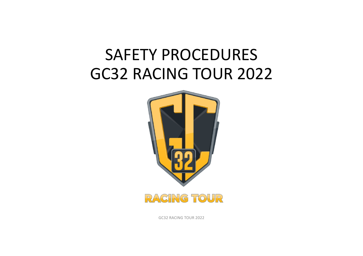#### SAFETY PROCEDURES GC32 RACING TOUR 2022





GC32 RACING TOUR 2022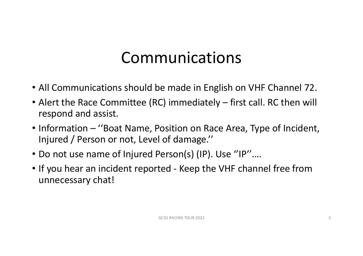#### Communications

- All Communications should be made in English on VHF Channel 72.
- Alert the Race Committee (RC) immediately first call. RC then will respond and assist.
- Information "Boat Name, Position on Race Area, Type of Incident, Injured / Person or not, Level of damage.''
- Do not use name of Injured Person(s) (IP). Use ''IP''….
- If you hear an incident reported Keep the VHF channel free from unnecessary chat!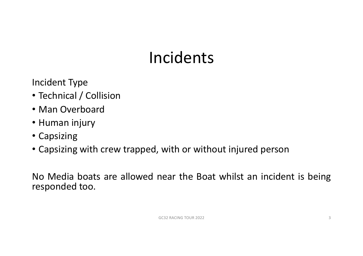## Incidents

Incident Type

- Technical / Collision
- Man Overboard
- Human injury
- Capsizing
- Capsizing with crew trapped, with or without injured person

No Media boats are allowed near the Boat whilst an incident is being responded too.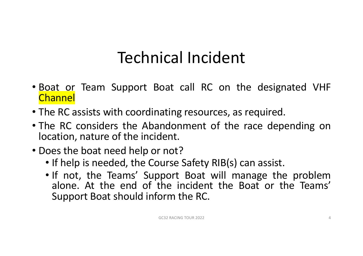### Technical Incident

- Boat or Team Support Boat call RC on the designated VHF **Channel**
- The RC assists with coordinating resources, as required.
- The RC considers the Abandonment of the race depending on location, nature of the incident.
- Does the boat need help or not?
	- If help is needed, the Course Safety RIB(s) can assist.
	- If not, the Teams' Support Boat will manage the problem alone. At the end of the incident the Boat or the Teams' Support Boat should inform the RC.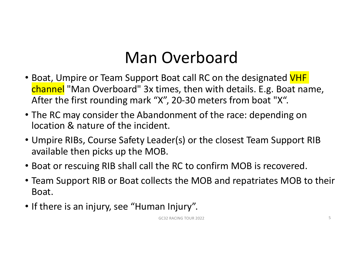## Man Overboard

- Boat, Umpire or Team Support Boat call RC on the designated VHF channel "Man Overboard" 3x times, then with details. E.g. Boat name, After the first rounding mark "X", 20-30 meters from boat "X".
- The RC may consider the Abandonment of the race: depending on location & nature of the incident.
- Umpire RIBs, Course Safety Leader(s) or the closest Team Support RIB available then picks up the MOB.
- Boat or rescuing RIB shall call the RC to confirm MOB is recovered.
- Team Support RIB or Boat collects the MOB and repatriates MOB to their Boat.
- If there is an injury, see "Human Injury".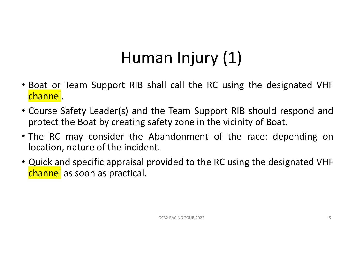## Human Injury (1)

- Boat or Team Support RIB shall call the RC using the designated VHF channel.
- Course Safety Leader(s) and the Team Support RIB should respond and protect the Boat by creating safety zone in the vicinity of Boat.
- The RC may consider the Abandonment of the race: depending on location, nature of the incident.
- Quick and specific appraisal provided to the RC using the designated VHF channel as soon as practical.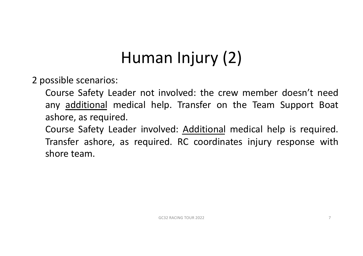## Human Injury (2)

2 possible scenarios:

- Course Safety Leader not involved: the crew member doesn't need any additional medical help. Transfer on the Team Support Boat ashore, as required.
- Course Safety Leader involved: Additional medical help is required. Transfer ashore, as required. RC coordinates injury response with shore team.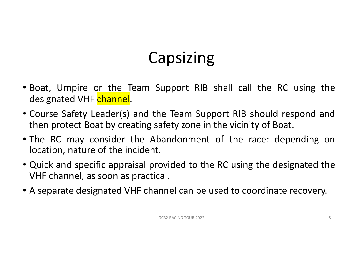## Capsizing

- Boat, Umpire or the Team Support RIB shall call the RC using the designated VHF channel.
- Course Safety Leader(s) and the Team Support RIB should respond and then protect Boat by creating safety zone in the vicinity of Boat.
- The RC may consider the Abandonment of the race: depending on location, nature of the incident.
- Quick and specific appraisal provided to the RC using the designated the VHF channel, as soon as practical.
- A separate designated VHF channel can be used to coordinate recovery.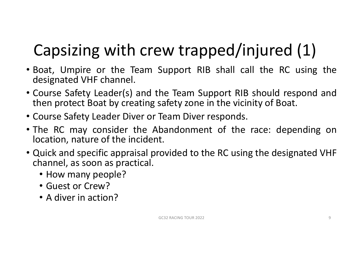# Capsizing with crew trapped/injured (1)

- Boat, Umpire or the Team Support RIB shall call the RC using the designated VHF channel.
- Course Safety Leader(s) and the Team Support RIB should respond and then protect Boat by creating safety zone in the vicinity of Boat.
- Course Safety Leader Diver or Team Diver responds.
- The RC may consider the Abandonment of the race: depending on location, nature of the incident.
- Quick and specific appraisal provided to the RC using the designated VHF channel, as soon as practical.
	- How many people?
	- Guest or Crew?
	- A diver in action?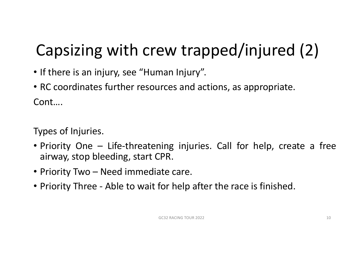# Capsizing with crew trapped/injured (2)

- If there is an injury, see "Human Injury".
- RC coordinates further resources and actions, as appropriate. Cont….

Types of Injuries.

- Priority One Life-threatening injuries. Call for help, create a free airway, stop bleeding, start CPR.
- Priority Two Need immediate care.
- Priority Three Able to wait for help after the race is finished.